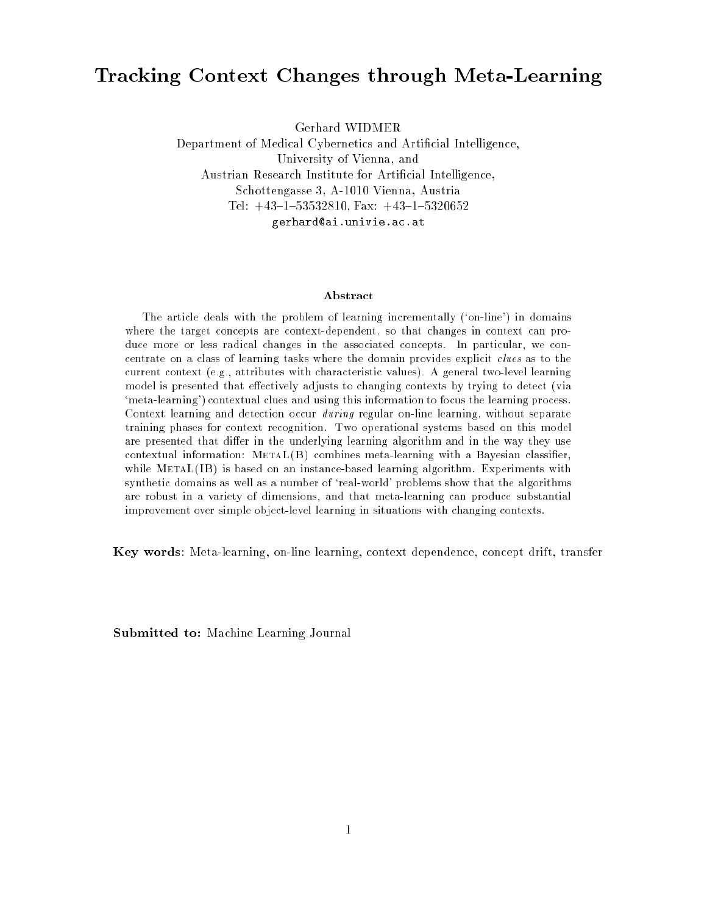# Tracking Context Changes through Meta-Learning

Gerhard WIDMER

Department of Medical Cybernetics and Articial Intelligence, University of Vienna, and Austrian Research Institute for Articial Intelligence, Schottengasse 3, A-1010 Vienna, Austria Tel:  $+43-1-53532810$ , Fax:  $+43-1-5320652$ gerhard@ai.univie.ac.at

#### Abstract

The article deals with the problem of learning incrementally (`on-line') in domains where the target concepts are context-dependent, so that changes in context can produce more or less radical changes in the associated concepts. In particular, we concentrate on a class of learning tasks where the domain provides explicit clues as to the current context (e.g., attributes with characteristic values). A general two-level learning model is presented that effectively adjusts to changing contexts by trying to detect (via `meta-learning') contextual clues and using this information to focus the learning process. Context learning and detection occur during regular on-line learning, without separate training phases for context recognition. Two operational systems based on this model are presented that differ in the underlying learning algorithm and in the way they use contextual information:  $METAL(B)$  combines meta-learning with a Bayesian classifier, while MetaL(IB) is based on an instance-based learning algorithm. Experiments with synthetic domains as well as a number of 'real-world' problems show that the algorithms are robust in a variety of dimensions, and that meta-learning can produce substantial improvement over simple object-level learning in situations with changing contexts.

Key words: Meta-learning, on-line learning, context dependence, concept drift, transfer

Submitted to: Machine Learning Journal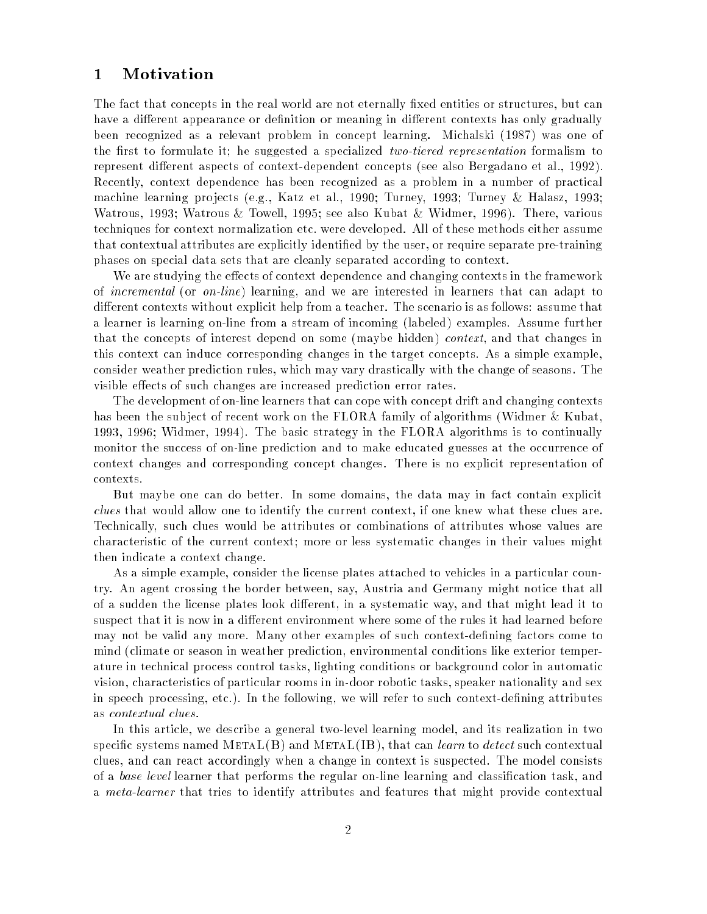## 1 Motivation

The fact that concepts in the real world are not eternally fixed entities or structures, but can have a different appearance or definition or meaning in different contexts has only gradually been recognized as a relevant problem in concept learning. Michalski (1987) was one of the first to formulate it; he suggested a specialized two-tiered representation formalism to represent different aspects of context-dependent concepts (see also Bergadano et al., 1992). Recently, context dependence has been recognized as a problem in a number of practical machine learning pro jects (e.g., Katz et al., 1990; Turney, 1993; Turney & Halasz, 1993; Watrous, 1993; Watrous & Towell, 1995; see also Kubat & Widmer, 1996). There, various techniques for context normalization etc. were developed. All of these methods either assume that contextual attributes are explicitly identied by the user, or require separate pre-training phases on special data sets that are cleanly separated according to context.

We are studying the effects of context dependence and changing contexts in the framework of incremental (or on-line) learning, and we are interested in learners that can adapt to different contexts without explicit help from a teacher. The scenario is as follows: assume that a learner is learning on-line from a stream of incoming (labeled) examples. Assume further that the concepts of interest depend on some (maybe hidden) context, and that changes in this context can induce corresponding changes in the target concepts. As a simple example, consider weather prediction rules, which may vary drastically with the change of seasons. The visible effects of such changes are increased prediction error rates.

The development of on-line learners that can cope with concept drift and changing contexts has been the subject of recent work on the FLORA family of algorithms (Widmer & Kubat, 1993, 1996; Widmer, 1994). The basic strategy in the FLORA algorithms is to continually monitor the success of on-line prediction and to make educated guesses at the occurrence of context changes and corresponding concept changes. There is no explicit representation of contexts.

But maybe one can do better. In some domains, the data may in fact contain explicit clues that would allow one to identify the current context, if one knew what these clues are. Technically, such clues would be attributes or combinations of attributes whose values are characteristic of the current context; more or less systematic changes in their values might then indicate a context change.

As a simple example, consider the license plates attached to vehicles in a particular country. An agent crossing the border between, say, Austria and Germany might notice that all of a sudden the license plates look different, in a systematic way, and that might lead it to suspect that it is now in a different environment where some of the rules it had learned before may not be valid any more. Many other examples of such context-defining factors come to mind (climate or season in weather prediction, environmental conditions like exterior temperature in technical process control tasks, lighting conditions or background color in automatic vision, characteristics of particular rooms in in-door robotic tasks, speaker nationality and sex in speech processing, etc.). In the following, we will refer to such context-defining attributes as contextual clues.

In this article, we describe a general two-level learning model, and its realization in two specific systems named  $METAL(B)$  and  $METAL(B)$ , that can *learn* to *detect* such contextual clues, and can react accordingly when a change in context is suspected. The model consists of a *base level* learner that performs the regular on-line learning and classification task, and a *meta-learner* that tries to identify attributes and features that might provide contextual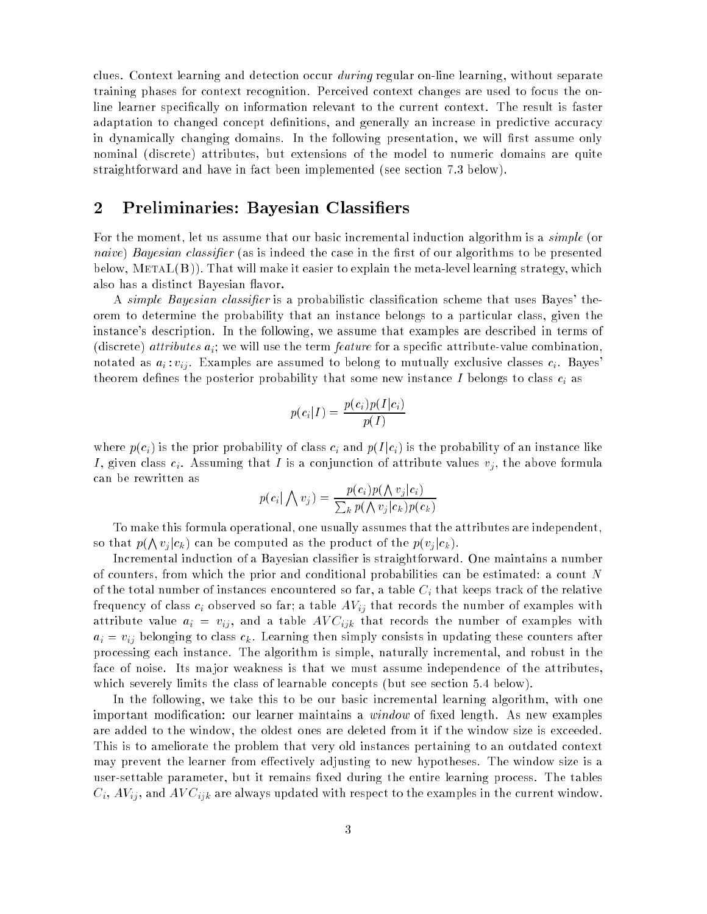clues. Context learning and detection occur *during* regular on-line learning, without separate training phases for context recognition. Perceived context changes are used to focus the online learner specically on information relevant to the current context. The result is faster adaptation to changed concept definitions, and generally an increase in predictive accuracy in dynamically changing domains. In the following presentation, we will first assume only nominal (discrete) attributes, but extensions of the model to numeric domains are quite straightforward and have in fact been implemented (see section 7.3 below).

## 2 Preliminaries: Bayesian Classiers

For the moment, let us assume that our basic incremental induction algorithm is a *simple* (or naive) Bayesian classifier (as is indeed the case in the first of our algorithms to be presented below,  $METAL(B)$ ). That will make it easier to explain the meta-level learning strategy, which also has a distinct Bayesian flavor.

A simple Bayesian classifier is a probabilistic classification scheme that uses Bayes' theorem to determine the probability that an instance belongs to a particular class, given the instance's description. In the following, we assume that examples are described in terms of (discrete) *attributes*  $a_i$ ; we will use the term *feature* for a specific attribute-value combination. notated as  $a_i$ :  $v_{ij}$ . Examples are assumed to belong to mutually exclusive classes  $c_i$ . Bayes theorem defines the posterior probability that some new instance I belongs to class  $c_i$  as

$$
p(c_i|I) = \frac{p(c_i)p(I|c_i)}{p(I)}
$$

where  $p(c_i)$  is the prior probability of class  $c_i$  and  $p(I|c_i)$  is the probability of an instance like I, given class  $c_i$ . Assuming that I is a conjunction of attribute values  $v_j$ , the above formula can be rewritten as

$$
p(c_i | \bigwedge v_j) = \frac{p(c_i)p(\bigwedge v_j|c_i)}{\sum_k p(\bigwedge v_j|c_k)p(c_k)}
$$

To make this formula operational, one usually assumes that the attributes are independent, so that  $p(\bigwedge v_j | c_k)$  can be computed as the product of the  $p(v_j | c_k)$ .

Incremental induction of a Bayesian classier is straightforward. One maintains a number of counters, from which the prior and conditional probabilities can be estimated: a count N of the total number of instances encountered so far, a table  $C_i$  that keeps track of the relative frequency of class  $c_i$  observed so far; a table  $AV_{ij}$  that records the number of examples with attribute value  $a_i$  =  $v_{ij},$  and a table  $AVC_{ijk}$  that records the number of examples with  $a_i = v_{ij}$  belonging to class  $c_k$ . Learning then simply consists in updating these counters after processing each instance. The algorithm is simple, naturally incremental, and robust in the face of noise. Its ma jor weakness is that we must assume independence of the attributes, which severely limits the class of learnable concepts (but see section 5.4 below).

In the following, we take this to be our basic incremental learning algorithm, with one important modification: our learner maintains a *window* of fixed length. As new examples are added to the window, the oldest ones are deleted from it if the window size is exceeded. This is to ameliorate the problem that very old instances pertaining to an outdated context may prevent the learner from effectively adjusting to new hypotheses. The window size is a user-settable parameter, but it remains fixed during the entire learning process. The tables  $C_i, AV_{ij},$  and  $AVC_{ijk}$  are always updated with respect to the examples in the current window.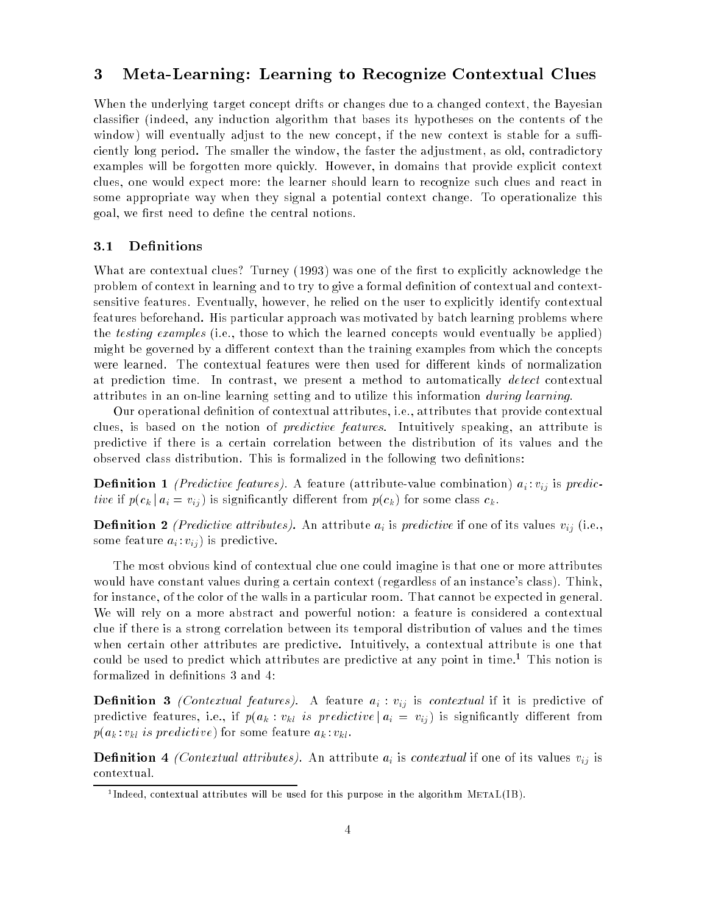## 3 Meta-Learning: Learning to Recognize Contextual Clues

When the underlying target concept drifts or changes due to a changed context, the Bayesian classier (indeed, any induction algorithm that bases its hypotheses on the contents of the window) will eventually adjust to the new concept, if the new context is stable for a sufficiently long period. The smaller the window, the faster the adjustment, as old, contradictory examples will be forgotten more quickly. However, in domains that provide explicit context clues, one would expect more: the learner should learn to recognize such clues and react in some appropriate way when they signal a potential context change. To operationalize this goal, we first need to define the central notions.

### 3.1 Definitions

What are contextual clues? Turney (1993) was one of the first to explicitly acknowledge the problem of context in learning and to try to give a formal definition of contextual and contextsensitive features. Eventually, however, he relied on the user to explicitly identify contextual features beforehand. His particular approach was motivated by batch learning problems where the testing examples (i.e., those to which the learned concepts would eventually be applied) might be governed by a different context than the training examples from which the concepts were learned. The contextual features were then used for different kinds of normalization at prediction time. In contrast, we present a method to automatically *detect* contextual attributes in an on-line learning setting and to utilize this information during learning.

Our operational denition of contextual attributes, i.e., attributes that provide contextual clues, is based on the notion of *predictive features*. Intuitively speaking, an attribute is predictive if there is a certain correlation between the distribution of its values and the observed class distribution. This is formalized in the following two definitions:

**Definition 1** (Predictive features). A feature (attribute-value combination)  $a_i : v_{ij}$  is predictive if  $p(c_k | a_i = v_{ij})$  is significantly different from  $p(c_k)$  for some class  $c_k$ .

**Definition 2** (Predictive attributes). An attribute  $a_i$  is predictive if one of its values  $v_{ij}$  (i.e., some feature  $a_i : v_{ij}$  is predictive.

The most obvious kind of contextual clue one could imagine is that one or more attributes would have constant values during a certain context (regardless of an instance's class). Think, for instance, of the color of the walls in a particular room. That cannot be expected in general. We will rely on a more abstract and powerful notion: a feature is considered a contextual clue if there is a strong correlation between its temporal distribution of values and the times when certain other attributes are predictive. Intuitively, a contextual attribute is one that could be used to predict which attributes are predictive at any point in time.<sup>1</sup> This notion is formalized in definitions 3 and 4:

**Definition 3** (Contextual features). A feature  $a_i : v_{ij}$  is contextual if it is predictive of predictive features, i.e., if  $p(a_k : v_{kl}$  is predictive  $|a_i = v_{ij}|$  is significantly different from  $p(a_k : v_{kl} \text{ is } predictive)$  for some feature  $a_k : v_{kl}$ .

**Definition** 4 *(Contextual attributes)*. An attribute  $a_i$  is *contextual* if one of its values  $v_{ij}$  is contextual.

<sup>1</sup> Indeed, contextual attributes will be used for this purpose in the algorithm MetaL(IB).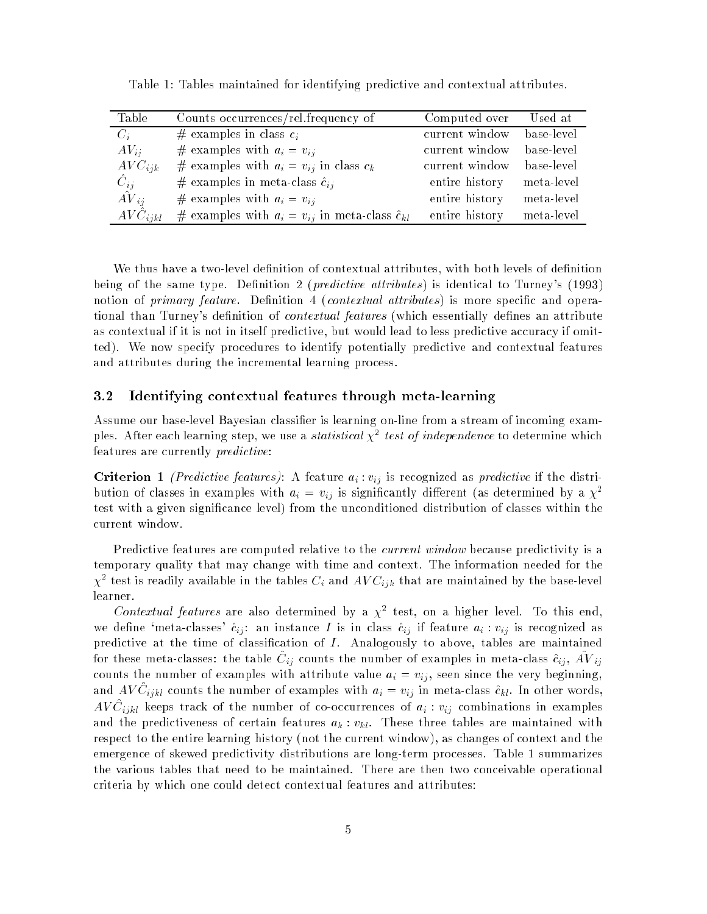| Table        | Counts occurrences/rel.frequency of                         | Computed over  | Used at    |
|--------------|-------------------------------------------------------------|----------------|------------|
| $C_i$        | # examples in class $c_i$                                   | current window | base-level |
| $AV_{ii}$    | # examples with $a_i = v_{ij}$                              | current window | base-level |
| $AVC_{ijk}$  | # examples with $a_i = v_{ij}$ in class $c_k$               | current window | base-level |
| $C_{ij}$     | # examples in meta-class $\hat{c}_{ij}$                     | entire history | meta-level |
| $AV_{ii}$    | # examples with $a_i = v_{ii}$                              | entire history | meta-level |
| $AVC_{ijkl}$ | # examples with $a_i = v_{ij}$ in meta-class $\hat{c}_{kl}$ | entire history | meta-level |

Table 1: Tables maintained for identifying predictive and contextual attributes.

We thus have a two-level definition of contextual attributes, with both levels of definition being of the same type. Definition 2 (*predictive attributes*) is identical to Turney's (1993) notion of *primary feature*. Definition 4 (*contextual attributes*) is more specific and operational than Turney's definition of *contextual features* (which essentially defines an attribute as contextual if it is not in itself predictive, but would lead to less predictive accuracy if omitted). We now specify procedures to identify potentially predictive and contextual features and attributes during the incremental learning process.

#### $3.2$ Identifying contextual features through meta-learning

Assume our base-level Bayesian classifier is learning on-line from a stream of incoming examples. After each learning step, we use a *statistical*  $\chi^2$  *test of independence* to determine which features are currently predictive:

**Criterion 1** (Predictive features): A feature  $a_i : v_{ij}$  is recognized as predictive if the distribution of classes in examples with  $a_i = v_{ij}$  is significantly different (as determined by a  $\chi^2$ test with a given signicance level) from the unconditioned distribution of classes within the current window.

Predictive features are computed relative to the *current window* because predictivity is a temporary quality that may change with time and context. The information needed for the  $\chi^\perp$  test is readily available in the tables  $\cup_i$  and AV  $\cup_{ijk}$  that are maintained by the base-level learner.

C*ontextual features* are also determined by a  $\chi$ <sup>-</sup> test, on a higher level. To this end, we define 'meta-classes'  $\hat{c}_{ij}$ : an instance I is in class  $\hat{c}_{ij}$  if feature  $a_i : v_{ij}$  is recognized as predictive at the time of classification of  $I$ . Analogously to above, tables are maintained for these meta-classes: the table  $\cup_{ij}$  counts the number of examples in meta-class  $c_{ij} ,$  AV  $_{ij}$ counts the number of examples with attribute value  $a_i = v_{ij}$ , seen since the very beginning, and AV  $C_{ijkl}$  counts the number of examples with  $a_i = v_{ij}$  in meta-class  $c_{kl}$ . In other words, AV  $C_{ijkl}$  keeps track of the number of co-occurrences of  $a_i$  :  $v_{ij}$  combinations in examples and the predictiveness of certain features  $a_k : v_{kl}$ . These three tables are maintained with respect to the entire learning history (not the current window), as changes of context and the emergence of skewed predictivity distributions are long-term processes. Table 1 summarizes the various tables that need to be maintained. There are then two conceivable operational criteria by which one could detect contextual features and attributes: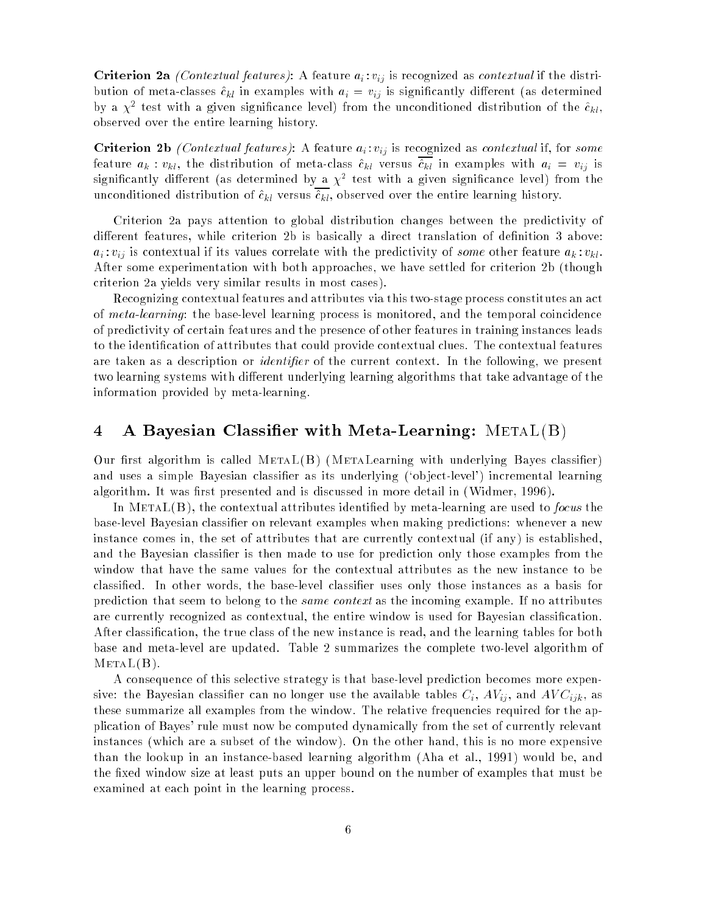**Criterion 2a** *(Contextual features)*: A feature  $a_i : v_{ij}$  is recognized as *contextual* if the distribution of meta-classes  $\hat{c}_{kl}$  in examples with  $a_i = v_{ij}$  is significantly different (as determined by a  $\chi^2$  test with a given significance level) from the unconditioned distribution of the  $c_{kl}$ , observed over the entire learning history.

Criterion 2b (Contextual features): A feature  $a_i : v_{ij}$  is recognized as contextual if, for some feature  $a_k : v_{kl}$ , the distribution of meta-class  $\hat{c}_{kl}$  versus  $\hat{c}_{kl}$  in examples with  $a_i = v_{ij}$  is  $\rm s$ ignincantly different (as determined by a  $\chi^{\pm}$  test with a given significance level) from the unconditioned distribution of  $\hat{c}_{kl}$  versus  $\hat{c}_{kl}$ , observed over the entire learning history.

Criterion 2a pays attention to global distribution changes between the predictivity of different features, while criterion 2b is basically a direct translation of definition 3 above:  $a_i : v_{ij}$  is contextual if its values correlate with the predictivity of some other feature  $a_k : v_{kl}$ . After some experimentation with both approaches, we have settled for criterion 2b (though criterion 2a yields very similar results in most cases).

Recognizing contextual features and attributes via this two-stage process constitutes an act of meta-learning: the base-level learning process is monitored, and the temporal coincidence of predictivity of certain features and the presence of other features in training instances leads to the identification of attributes that could provide contextual clues. The contextual features are taken as a description or *identifier* of the current context. In the following, we present two learning systems with different underlying learning algorithms that take advantage of the information provided by meta-learning.

## 4 – A Bayesian Classifier with Meta-Learning:  $\text{METAL(B)}$

Our first algorithm is called  $METAL(B)$  (METALearning with underlying Bayes classifier) and uses a simple Bayesian classifier as its underlying ('object-level') incremental learning algorithm. It was first presented and is discussed in more detail in (Widmer, 1996).

In  $META(L(B))$ , the contextual attributes identified by meta-learning are used to *focus* the base-level Bayesian classier on relevant examples when making predictions: whenever a new instance comes in, the set of attributes that are currently contextual (if any) is established, and the Bayesian classifier is then made to use for prediction only those examples from the window that have the same values for the contextual attributes as the new instance to be classied. In other words, the base-level classier uses only those instances as a basis for prediction that seem to belong to the same context as the incoming example. If no attributes are currently recognized as contextual, the entire window is used for Bayesian classication. After classication, the true class of the new instance is read, and the learning tables for both base and meta-level are updated. Table 2 summarizes the complete two-level algorithm of  $METAL(B)$ .

A consequence of this selective strategy is that base-level prediction becomes more expensive: the Bayesian classifier can no longer use the available tables  $C_i$ ,  $AV_{ij}$ , and  $AVC_{ijk}$ , as these summarize all examples from the window. The relative frequencies required for the application of Bayes' rule must now be computed dynamically from the set of currently relevant instances (which are a subset of the window). On the other hand, this is no more expensive than the lookup in an instance-based learning algorithm (Aha et al., 1991) would be, and the fixed window size at least puts an upper bound on the number of examples that must be examined at each point in the learning process.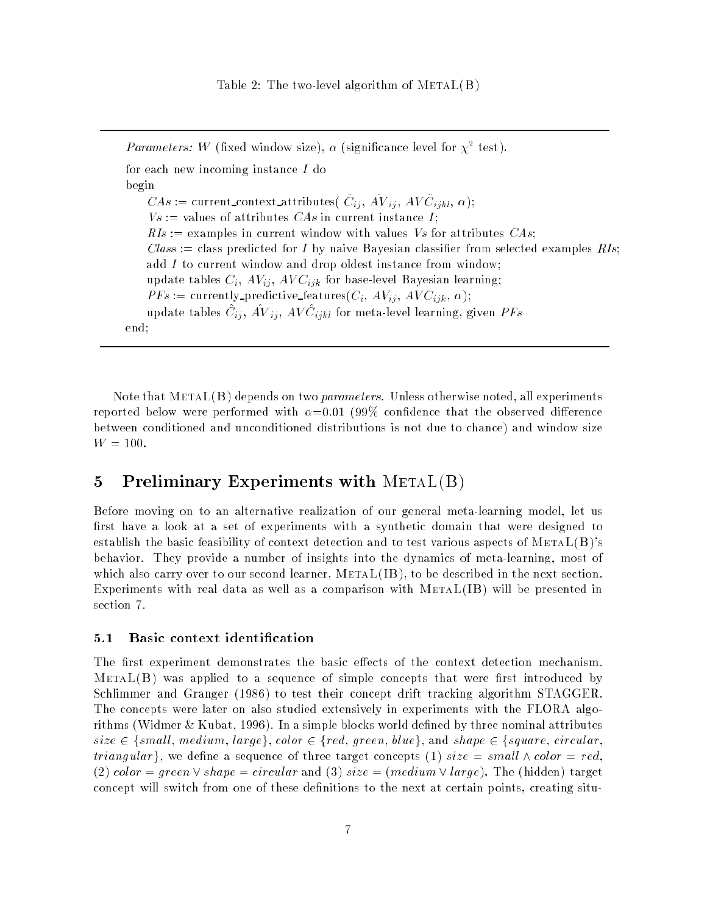*Parameters: W* (fixed window size),  $\alpha$  (significance level for  $\chi$  test). for each new incoming instance I do begin CAS := current\_context\_attributes( $C_{ij}$ , AV $ij$ , AV $C_{ijkl}$ ,  $\alpha$ );  $Vs :=$  values of attributes CAs in current instance I;  $RIs :=$  examples in current window with values Vs for attributes CAs; Class := class predicted for I by naive Bayesian classifier from selected examples RIs; add I to current window and drop oldest instance from window; update tables  $C_i$ ,  $AV_{ij}$ ,  $AVC_{ijk}$  for base-level Bayesian learning;  $PFs := \text{currently-predictive_features}(C_i, AV_{ij}, AVC_{ijk}, \alpha);$ update tables  $C_{ij}$ , AV  $_{ij}$ , AV  $C_{ijkl}$  for meta-level learning, given PFs end;

Note that  $METAL(B)$  depends on two *parameters*. Unless otherwise noted, all experiments reported below were performed with  $\alpha = 0.01$  (99% confidence that the observed difference between conditioned and unconditioned distributions is not due to chance) and window size  $W = 100.$ 

## 5 Preliminary Experiments with  $METAL(B)$

Before moving on to an alternative realization of our general meta-learning model, let us first have a look at a set of experiments with a synthetic domain that were designed to establish the basic feasibility of context detection and to test various aspects of  $META(L(B))$ 's behavior. They provide a number of insights into the dynamics of meta-learning, most of which also carry over to our second learner,  $METAL(IB)$ , to be described in the next section. Experiments with real data as well as a comparison with  $METAL(IB)$  will be presented in section 7.

#### 5.1 Basic context identification

The first experiment demonstrates the basic effects of the context detection mechanism.  $METAL(B)$  was applied to a sequence of simple concepts that were first introduced by Schlimmer and Granger (1986) to test their concept drift tracking algorithm STAGGER. The concepts were later on also studied extensively in experiments with the FLORA algorithms (Widmer & Kubat, 1996). In a simple blocks world defined by three nominal attributes  $size \in \{small, medium, large\}, color \in \{red, green, blue\}, and shape \in \{square, circular,$ triangular, we define a sequence of three target concepts (1) size = small  $\wedge$  color = red, (2) color = green  $\vee$  shape = circular and (3) size = (medium  $\vee$  large). The (hidden) target concept will switch from one of these definitions to the next at certain points, creating situ-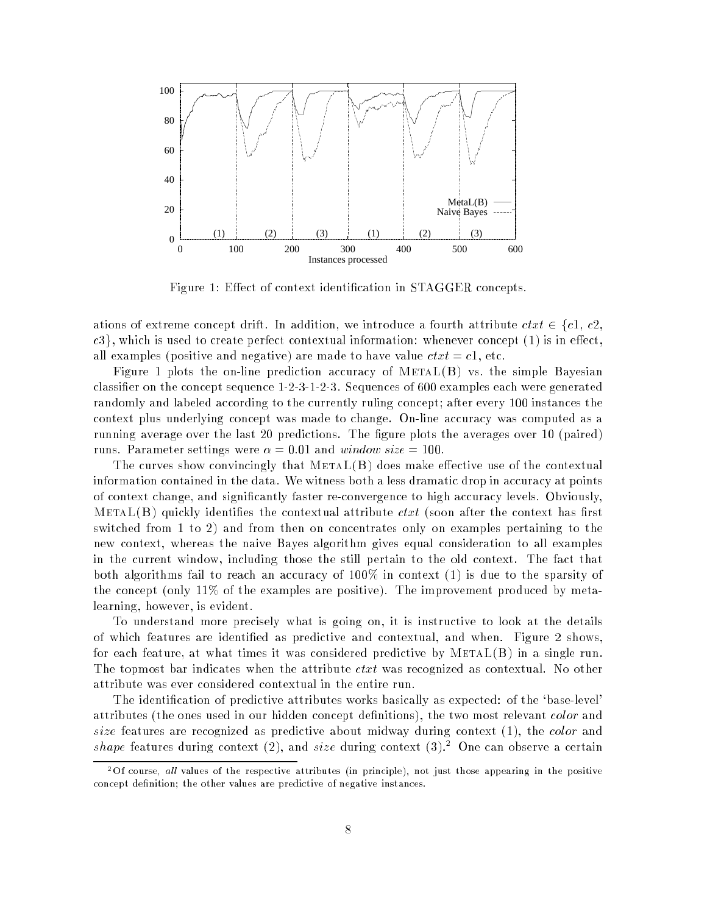

Figure 1: Effect of context identification in STAGGER concepts.

ations of extreme concept drift. In addition, we introduce a fourth attribute  $\text{ct} x t \in \{c_1, c_2, c_3, c_4, c_5, c_6, c_7, c_8, c_9, c_9, c_9, c_9, c_1, c_2, c_3, c_4, c_7, c_8, c_9, c_9, c_9, c_9, c_1, c_2, c_3, c_4, c_7, c_8, c_9, c_9, c_1, c_2, c_3$ c3}, which is used to create perfect contextual information: whenever concept (1) is in effect, all examples (positive and negative) are made to have value  $ctxt = c1$ , etc.

Figure 1 plots the on-line prediction accuracy of  $METAL(B)$  vs. the simple Bayesian classier on the concept sequence 1-2-3-1-2-3. Sequences of 600 examples each were generated randomly and labeled according to the currently ruling concept; after every 100 instances the context plus underlying concept was made to change. On-line accuracy was computed as a running average over the last 20 predictions. The figure plots the averages over 10 (paired) runs. Parameter settings were  $\alpha = 0.01$  and window size = 100.

The curves show convincingly that  $METAL(B)$  does make effective use of the contextual information contained in the data. We witness both a less dramatic drop in accuracy at points of context change, and signicantly faster re-convergence to high accuracy levels. Obviously, METAL(B) quickly identifies the contextual attribute  $ctxt$  (soon after the context has first switched from 1 to 2) and from then on concentrates only on examples pertaining to the new context, whereas the naive Bayes algorithm gives equal consideration to all examples in the current window, including those the still pertain to the old context. The fact that both algorithms fail to reach an accuracy of 100% in context (1) is due to the sparsity of the concept (only 11% of the examples are positive). The improvement produced by metalearning, however, is evident.

To understand more precisely what is going on, it is instructive to look at the details of which features are identied as predictive and contextual, and when. Figure 2 shows, for each feature, at what times it was considered predictive by  $METAL(B)$  in a single run. The topmost bar indicates when the attribute  $\text{ctxt}$  was recognized as contextual. No other attribute was ever considered contextual in the entire run.

The identication of predictive attributes works basically as expected: of the `base-level' attributes (the ones used in our hidden concept definitions), the two most relevant *color* and size features are recognized as predictive about midway during context (1), the color and shape features during context (2), and size during context (3).<sup>2</sup> One can observe a certain

 $2$ Of course, all values of the respective attributes (in principle), not just those appearing in the positive concept definition; the other values are predictive of negative instances.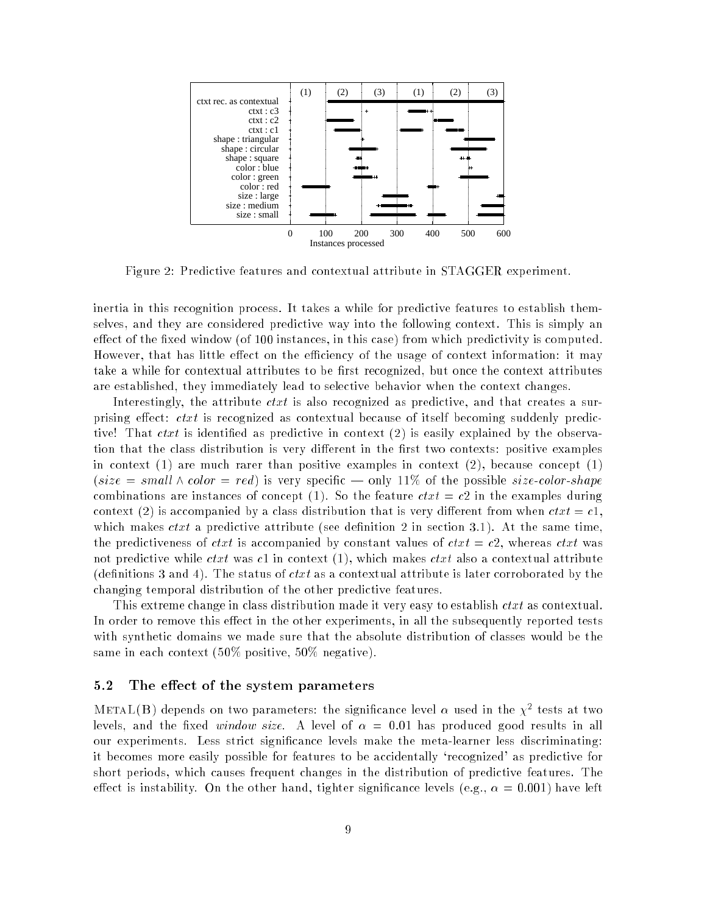

Figure 2: Predictive features and contextual attribute in STAGGER experiment.

inertia in this recognition process. It takes a while for predictive features to establish themselves, and they are considered predictive way into the following context. This is simply an effect of the fixed window (of 100 instances, in this case) from which predictivity is computed. However, that has little effect on the efficiency of the usage of context information: it may take a while for contextual attributes to be first recognized, but once the context attributes are established, they immediately lead to selective behavior when the context changes.

Interestingly, the attribute  $\text{ctxt}$  is also recognized as predictive, and that creates a surprising effect:  $ctxt$  is recognized as contextual because of itself becoming suddenly predictive! That  $ctxt$  is identified as predictive in context (2) is easily explained by the observation that the class distribution is very different in the first two contexts: positive examples in context  $(1)$  are much rarer than positive examples in context  $(2)$ , because concept  $(1)$ (size = small  $\wedge$  color = red) is very specific — only 11% of the possible size-color-shape combinations are instances of concept (1). So the feature  $ctxt = c2$  in the examples during context (2) is accompanied by a class distribution that is very different from when  $\text{ct}xt = c1$ , which makes  $\text{crit } t$  a predictive attribute (see definition 2 in section 3.1). At the same time, the predictiveness of *ctxt* is accompanied by constant values of *ctxt* =  $c2$ , whereas *ctxt* was not predictive while *ctxt* was c1 in context (1), which makes *ctxt* also a contextual attribute (definitions 3 and 4). The status of  $ctxt$  as a contextual attribute is later corroborated by the changing temporal distribution of the other predictive features.

This extreme change in class distribution made it very easy to establish *ctxt* as contextual. In order to remove this effect in the other experiments, in all the subsequently reported tests with synthetic domains we made sure that the absolute distribution of classes would be the same in each context (50% positive, 50% negative).

#### 5.2 The effect of the system parameters

METAL(B) depends on two parameters: the significance level  $\alpha$  used in the  $\chi^-$  tests at two levels, and the fixed window size. A level of  $\alpha = 0.01$  has produced good results in all our experiments. Less strict signicance levels make the meta-learner less discriminating: it becomes more easily possible for features to be accidentally `recognized' as predictive for short periods, which causes frequent changes in the distribution of predictive features. The effect is instability. On the other hand, tighter significance levels (e.g.,  $\alpha = 0.001$ ) have left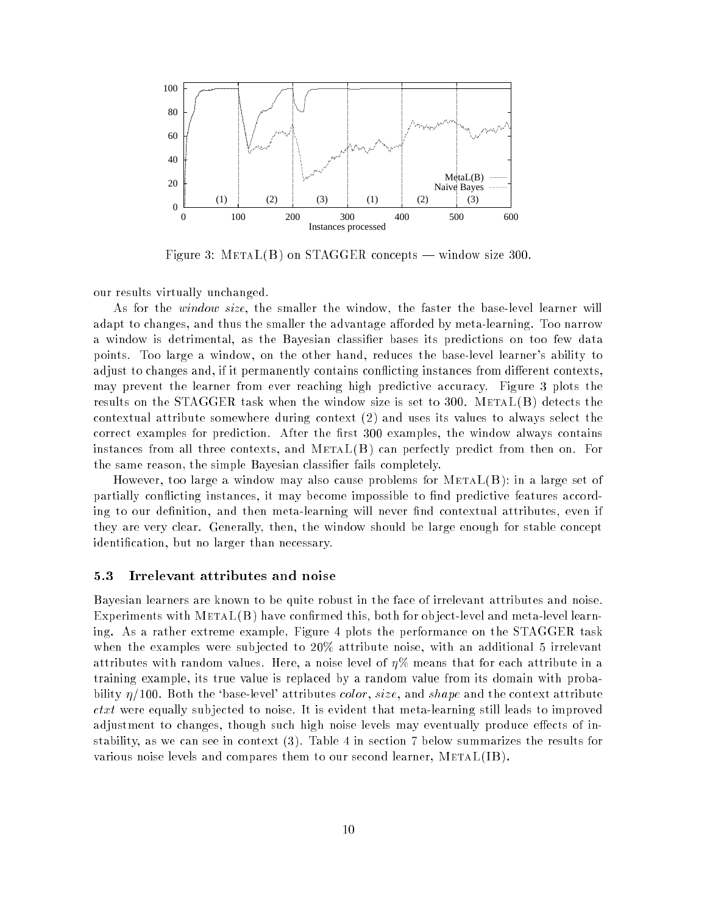

Figure 3:  $METAL(B)$  on STAGGER concepts — window size 300.

our results virtually unchanged.

As for the *window size*, the smaller the window, the faster the base-level learner will adapt to changes, and thus the smaller the advantage afforded by meta-learning. Too narrow a window is detrimental, as the Bayesian classier bases its predictions on too few data points. Too large a window, on the other hand, reduces the base-level learner's ability to adjust to changes and, if it permanently contains conflicting instances from different contexts, may prevent the learner from ever reaching high predictive accuracy. Figure 3 plots the results on the STAGGER task when the window size is set to 300. META $L(B)$  detects the contextual attribute somewhere during context (2) and uses its values to always select the correct examples for prediction. After the first 300 examples, the window always contains instances from all three contexts, and  $METAL(B)$  can perfectly predict from then on. For the same reason, the simple Bayesian classier fails completely.

However, too large a window may also cause problems for  $METAL(B)$ : in a large set of partially conflicting instances, it may become impossible to find predictive features according to our definition, and then meta-learning will never find contextual attributes, even if they are very clear. Generally, then, the window should be large enough for stable concept identication, but no larger than necessary.

#### 5.3 Irrelevant attributes and noise

Bayesian learners are known to be quite robust in the face of irrelevant attributes and noise. Experiments with  $METAL(B)$  have confirmed this, both for object-level and meta-level learning. As a rather extreme example, Figure 4 plots the performance on the STAGGER task when the examples were subjected to 20% attribute noise, with an additional 5 irrelevant attributes with random values. Here, a noise level of  $\eta\%$  means that for each attribute in a training example, its true value is replaced by a random value from its domain with probability  $\eta/100$ . Both the 'base-level' attributes *color, size*, and shape and the context attribute  $ctxt$  were equally subjected to noise. It is evident that meta-learning still leads to improved adjustment to changes, though such high noise levels may eventually produce effects of instability, as we can see in context (3). Table 4 in section 7 below summarizes the results for various noise levels and compares them to our second learner, MetaL(IB).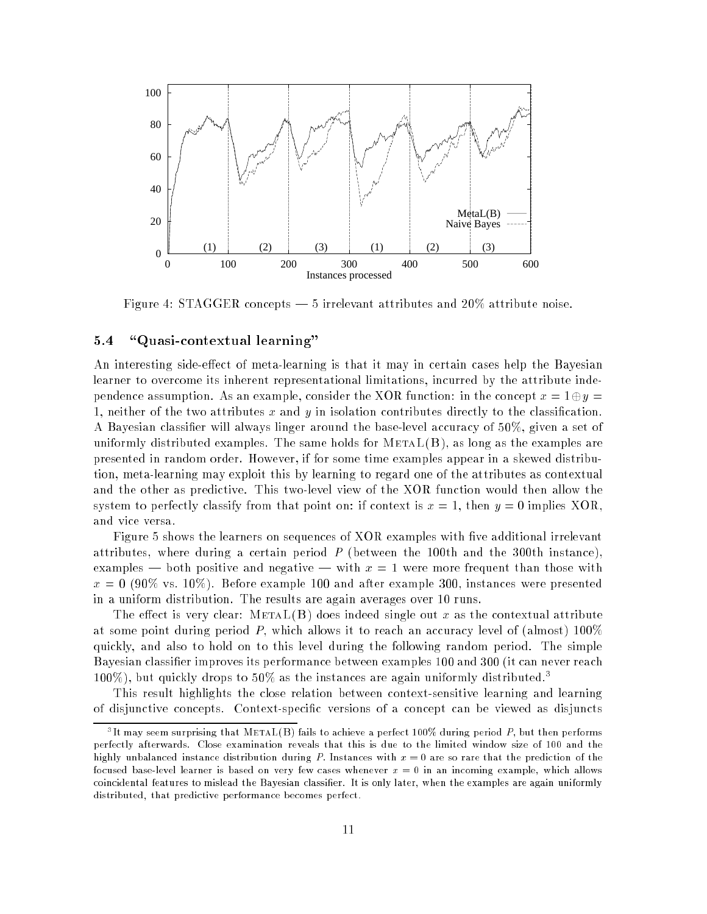

Figure 4: STAGGER concepts  $-5$  irrelevant attributes and  $20\%$  attribute noise.

#### "Quasi-contextual learning"  $5.4$

An interesting side-effect of meta-learning is that it may in certain cases help the Bayesian learner to overcome its inherent representational limitations, incurred by the attribute independence assumption. As an example, consider the XOR function: in the concept  $x = 1 \oplus y = 1$ 1, neither of the two attributes  $x$  and  $y$  in isolation contributes directly to the classification. A Bayesian classier will always linger around the base-level accuracy of 50%, given a set of uniformly distributed examples. The same holds for  $METAL(B)$ , as long as the examples are presented in random order. However, if for some time examples appear in a skewed distribution, meta-learning may exploit this by learning to regard one of the attributes as contextual and the other as predictive. This two-level view of the XOR function would then allow the system to perfectly classify from that point on: if context is  $x = 1$ , then  $y = 0$  implies XOR, and vice versa.

Figure 5 shows the learners on sequences of XOR examples with five additional irrelevant attributes, where during a certain period  $P$  (between the 100th and the 300th instance), examples — both positive and negative — with  $x = 1$  were more frequent than those with  $x = 0$  (90% vs. 10%). Before example 100 and after example 300, instances were presented in a uniform distribution. The results are again averages over 10 runs.

The effect is very clear:  $METAL(B)$  does indeed single out x as the contextual attribute at some point during period P, which allows it to reach an accuracy level of (almost)  $100\%$ quickly, and also to hold on to this level during the following random period. The simple Bayesian classier improves its performance between examples 100 and 300 (it can never reach 100%), but quickly drops to 50% as the instances are again uniformly distributed.<sup>3</sup>

This result highlights the close relation between context-sensitive learning and learning of disjunctive concepts. Context-specic versions of a concept can be viewed as disjuncts

It may seem surprising that METAL(D) fails to achieve a perfect 100% during period  $F$ , but then performs perfectly afterwards. Close examination reveals that this is due to the limited window size of 100 and the highly unbalanced instance distribution during P. Instances with  $x = 0$  are so rare that the prediction of the focused base-level learner is based on very few cases whenever  $x = 0$  in an incoming example, which allows coincidental features to mislead the Bayesian classier. It is only later, when the examples are again uniformly distributed, that predictive performance becomes perfect.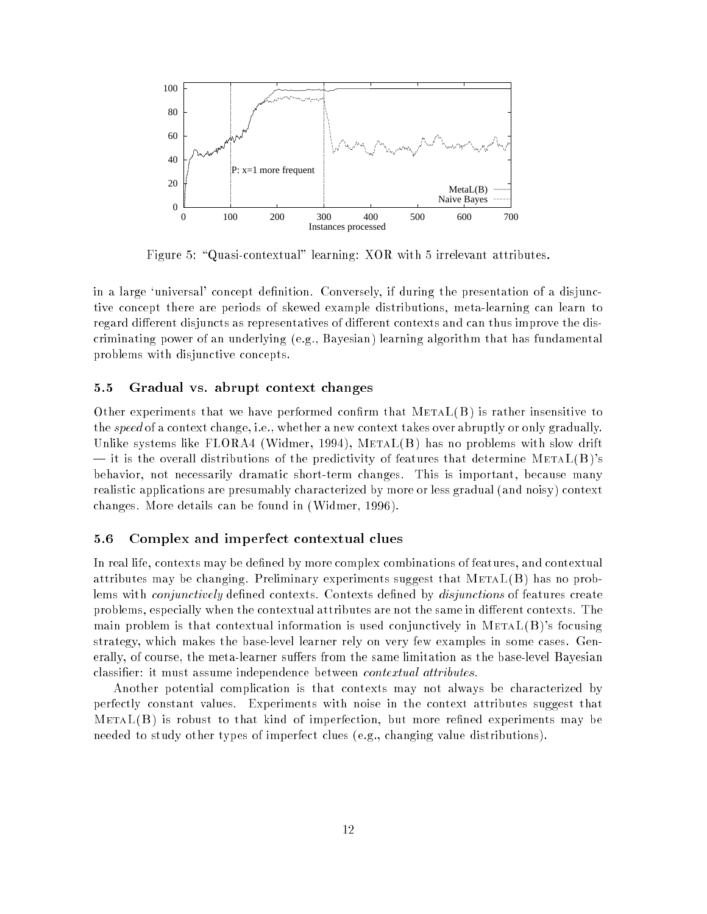

Figure 5: "Quasi-contextual" learning: XOR with 5 irrelevant attributes.

in a large 'universal' concept definition. Conversely, if during the presentation of a disjunctive concept there are periods of skewed example distributions, meta-learning can learn to regard different disjuncts as representatives of different contexts and can thus improve the discriminating power of an underlying (e.g., Bayesian) learning algorithm that has fundamental problems with disjunctive concepts.

#### 5.5 Gradual vs. abrupt context changes

Other experiments that we have performed confirm that  $METAL(B)$  is rather insensitive to the speed of a context change, i.e., whether a new context takes over abruptly or only gradually. Unlike systems like FLORA4 (Widmer, 1994), MetaL(B) has no problems with slow drift  $-$  it is the overall distributions of the predictivity of features that determine METAL(B)'s behavior, not necessarily dramatic short-term changes. This is important, because many realistic applications are presumably characterized by more or less gradual (and noisy) context changes. More details can be found in (Widmer, 1996).

### 5.6 Complex and imperfect contextual clues

In real life, contexts may be defined by more complex combinations of features, and contextual attributes may be changing. Preliminary experiments suggest that  $METAL(B)$  has no problems with *conjunctively* defined contexts. Contexts defined by *disjunctions* of features create problems, especially when the contextual attributes are not the same in different contexts. The main problem is that contextual information is used conjunctively in  $METAL(B)$ 's focusing strategy, which makes the base-level learner rely on very few examples in some cases. Generally, of course, the meta-learner suffers from the same limitation as the base-level Bayesian classier: it must assume independence between contextual attributes.

Another potential complication is that contexts may not always be characterized by perfectly constant values. Experiments with noise in the context attributes suggest that  $METAL(B)$  is robust to that kind of imperfection, but more refined experiments may be needed to study other types of imperfect clues (e.g., changing value distributions).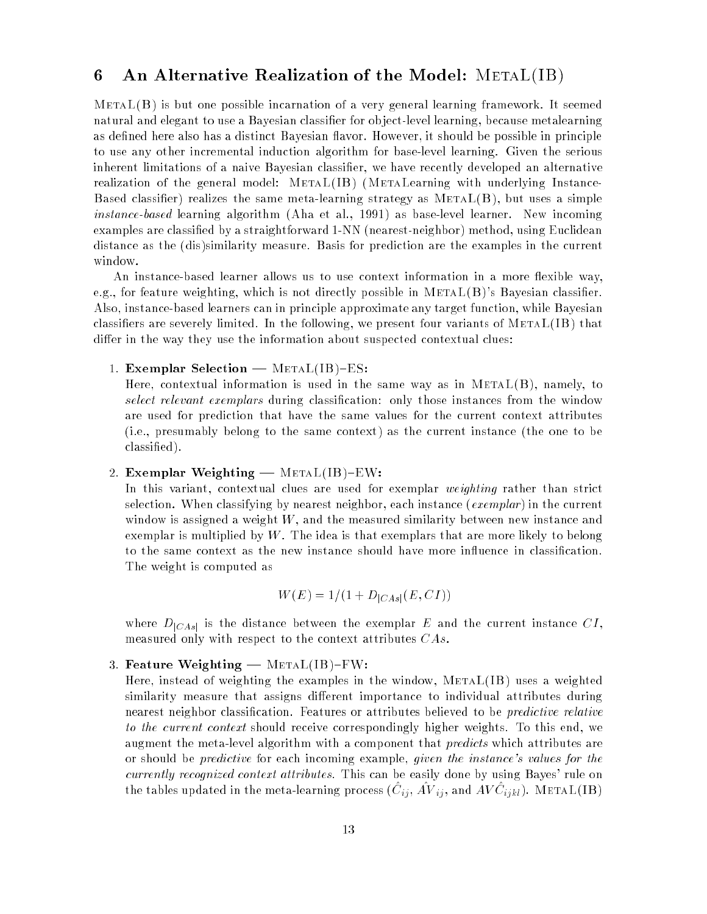## 6 An Alternative Realization of the Model: METAL(IB)

 $METAL(B)$  is but one possible incarnation of a very general learning framework. It seemed natural and elegant to use a Bayesian classifier for object-level learning, because metalearning as defined here also has a distinct Bayesian flavor. However, it should be possible in principle to use any other incremental induction algorithm for base-level learning. Given the serious inherent limitations of a naive Bayesian classier, we have recently developed an alternative realization of the general model: METAL(IB) (METALearning with underlying Instance-Based classifier) realizes the same meta-learning strategy as  $METAL(B)$ , but uses a simple instance-based learning algorithm (Aha et al., 1991) as base-level learner. New incoming examples are classied by a straightforward 1-NN (nearest-neighbor) method, using Euclidean distance as the (dis)similarity measure. Basis for prediction are the examples in the current window.

An instance-based learner allows us to use context information in a more flexible way, e.g., for feature weighting, which is not directly possible in  $METAL(B)$ 's Bayesian classifier. Also, instance-based learners can in principle approximate any target function, while Bayesian classifiers are severely limited. In the following, we present four variants of  $\text{METAL}(\text{IB})$  that differ in the way they use the information about suspected contextual clues:

1. Exemplar Selection  $-$  METAL(IB)-ES:

Here, contextual information is used in the same way as in  $METAL(B)$ , namely, to select relevant exemplars during classification: only those instances from the window are used for prediction that have the same values for the current context attributes (i.e., presumably belong to the same context) as the current instance (the one to be classied).

#### 2. Exemplar Weighting  $-$  METAL(IB)-EW:

In this variant, contextual clues are used for exemplar *weighting* rather than strict selection. When classifying by nearest neighbor, each instance (*exemplar*) in the current window is assigned a weight  $W$ , and the measured similarity between new instance and exemplar is multiplied by  $W$ . The idea is that exemplars that are more likely to belong to the same context as the new instance should have more influence in classification. The weight is computed as

$$
W(E) = 1/(1 + D_{|CAs|}(E, CI))
$$

where  $D_{|CAs|}$  is the distance between the exemplar E and the current instance CI, measured only with respect to the context attributes CAs.

#### 3. Feature Weighting  $-$  METAL(IB)-FW:

Here, instead of weighting the examples in the window,  $METAL(IB)$  uses a weighted similarity measure that assigns different importance to individual attributes during nearest neighbor classication. Features or attributes believed to be predictive relative to the current context should receive correspondingly higher weights. To this end, we augment the meta-level algorithm with a component that *predicts* which attributes are or should be predictive for each incoming example, given the instance's values for the currently recognized context attributes. This can be easily done by using Bayes' rule on the tables updated in the meta-learning process  $(\cup_{ij}^*, A\vee_{ij}^*,$  and AV  $\cup_{ijkl}^*,$  , with AL(IB)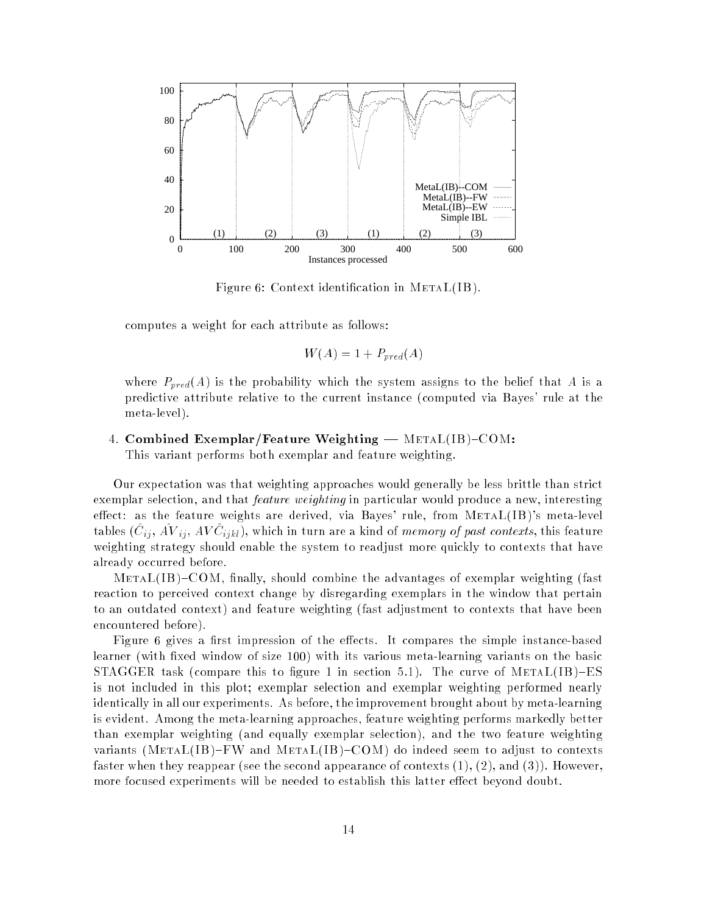

Figure 6: Context identification in METAL(IB).

computes a weight for each attribute as follows:

$$
W(A) = 1 + P_{pred}(A)
$$

where  $P_{pred}(A)$  is the probability which the system assigns to the belief that A is a predictive attribute relative to the current instance (computed via Bayes' rule at the meta-level).

4. Combined Exemplar/Feature Weighting  $-$  METAL(IB)-COM:

This variant performs both exemplar and feature weighting.

Our expectation was that weighting approaches would generally be less brittle than strict exemplar selection, and that *feature weighting* in particular would produce a new, interesting effect: as the feature weights are derived, via Bayes' rule, from  $METAL(IB)$ 's meta-level tables (C<sub>ij</sub>, AV i<sub>j</sub>, AV C<sub>ijkl</sub>), which in turn are a kind of *memory of past contexts*, this feature weighting strategy should enable the system to readjust more quickly to contexts that have already occurred before.

 $METAL(IB)-COM$ , finally, should combine the advantages of exemplar weighting (fast reaction to perceived context change by disregarding exemplars in the window that pertain to an outdated context) and feature weighting (fast adjustment to contexts that have been encountered before).

Figure 6 gives a first impression of the effects. It compares the simple instance-based learner (with fixed window of size 100) with its various meta-learning variants on the basic STAGGER task (compare this to figure 1 in section 5.1). The curve of  $METAL(IB)-ES$ is not included in this plot; exemplar selection and exemplar weighting performed nearly identically in all our experiments. As before, the improvement brought about by meta-learning is evident. Among the meta-learning approaches, feature weighting performs markedly better than exemplar weighting (and equally exemplar selection), and the two feature weighting variants (METAL(IB)-FW and METAL(IB)-COM) do indeed seem to adjust to contexts faster when they reappear (see the second appearance of contexts  $(1), (2),$  and  $(3)$ ). However, more focused experiments will be needed to establish this latter effect beyond doubt.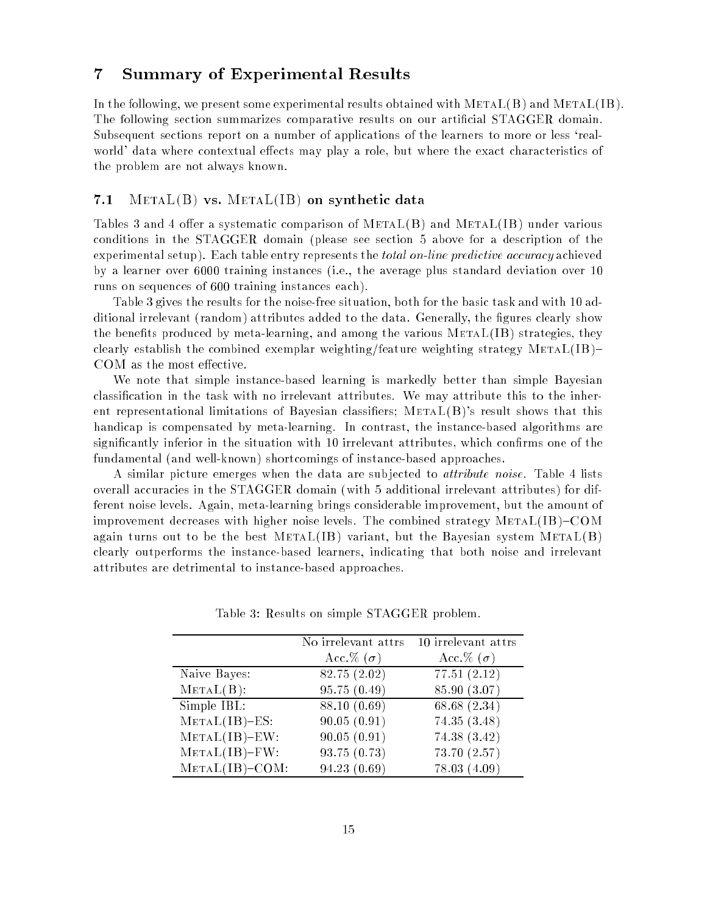## 7 Summary of Experimental Results

In the following, we present some experimental results obtained with  $METAL(B)$  and  $METAL(IB)$ . The following section summarizes comparative results on our articial STAGGER domain. Subsequent sections report on a number of applications of the learners to more or less 'realworld' data where contextual effects may play a role, but where the exact characteristics of the problem are not always known.

### 7.1  $\mathop{\rm METAL}\nolimits(B)$  vs.  $\mathop{\rm METAL}\nolimits(B)$  on synthetic data

Tables 3 and 4 offer a systematic comparison of  $METAL(B)$  and  $METAL(IB)$  under various conditions in the STAGGER domain (please see section 5 above for a description of the experimental setup). Each table entry represents the *total on-line predictive accuracy* achieved by a learner over 6000 training instances (i.e., the average plus standard deviation over 10 runs on sequences of 600 training instances each).

Table 3 gives the results for the noise-free situation, both for the basic task and with 10 additional irrelevant (random) attributes added to the data. Generally, the figures clearly show the benefits produced by meta-learning, and among the various  $METAL(IB)$  strategies, they clearly establish the combined exemplar weighting/feature weighting strategy  $METAL(IB)$ COM as the most effective.

We note that simple instance-based learning is markedly better than simple Bayesian classication in the task with no irrelevant attributes. We may attribute this to the inherent representational limitations of Bayesian classifiers;  $METAL(B)$ 's result shows that this handicap is compensated by meta-learning. In contrast, the instance-based algorithms are significantly inferior in the situation with 10 irrelevant attributes, which confirms one of the fundamental (and well-known) shortcomings of instance-based approaches.

A similar picture emerges when the data are sub jected to attribute noise. Table 4 lists overall accuracies in the STAGGER domain (with 5 additional irrelevant attributes) for different noise levels. Again, meta-learning brings considerable improvement, but the amount of improvement decreases with higher noise levels. The combined strategy  $METAL(IB)-COM$ again turns out to be the best  $METAL(IB)$  variant, but the Bayesian system  $METAL(B)$ clearly outperforms the instance-based learners, indicating that both noise and irrelevant attributes are detrimental to instance-based approaches.

|                    | No irrelevant attrs    | 10 irrelevant attrs |  |
|--------------------|------------------------|---------------------|--|
|                    | Acc. $\%$ ( $\sigma$ ) | Acc.% $(\sigma)$    |  |
| Naive Bayes:       | 82.75 (2.02)           | 77.51(2.12)         |  |
| $METAL(B)$ :       | 95.75(0.49)            | 85.90 (3.07)        |  |
| Simple IBL:        | 88.10 (0.69)           | 68.68 (2.34)        |  |
| $METAL(IB)$ -ES:   | 90.05(0.91)            | 74.35 (3.48)        |  |
| $METAL(IB) = EW:$  | 90.05(0.91)            | 74.38 (3.42)        |  |
| $METAL(IB) = FW$ : | 93.75(0.73)            | 73.70 (2.57)        |  |
| $METAL(IB)-COM:$   | 94.23(0.69)            | 78.03 (4.09)        |  |

Table 3: Results on simple STAGGER problem.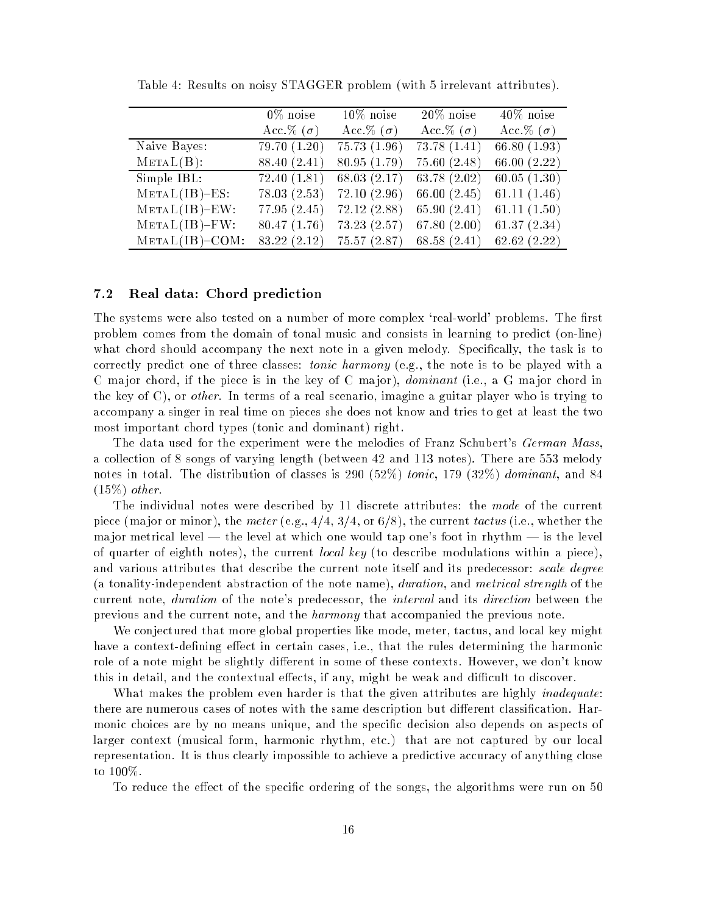|                   | $0\%$ noise            | $10\%$ noise           | $20\%$ noise     | $40\%$ noise     |
|-------------------|------------------------|------------------------|------------------|------------------|
|                   | Acc. $\%$ ( $\sigma$ ) | Acc. $\%$ ( $\sigma$ ) | Acc.% $(\sigma)$ | Acc.% $(\sigma)$ |
| Naive Bayes:      | 79.70 (1.20)           | 75.73 (1.96)           | 73.78 (1.41)     | 66.80 $(1.93)$   |
| $METAL(B)$ :      | 88.40 (2.41)           | 80.95(1.79)            | 75.60(2.48)      | 66.00 $(2.22)$   |
| Simple IBL:       | 72.40(1.81)            | 68.03 $(2.17)$         | 63.78(2.02)      | 60.05(1.30)      |
| $METAL(IB)$ -ES:  | 78.03(2.53)            | 72.10(2.96)            | 66.00 $(2.45)$   | 61.11(1.46)      |
| $METAL(IB)$ -EW:  | 77.95 (2.45)           | 72.12(2.88)            | 65.90(2.41)      | 61.11(1.50)      |
| $METAL(IB) - FW:$ | 80.47 (1.76)           | 73.23(2.57)            | 67.80(2.00)      | 61.37(2.34)      |
| $METAL(IB)$ -COM: | 83.22 (2.12)           | 75.57 (2.87)           | 68.58(2.41)      | 62.62(2.22)      |

Table 4: Results on noisy STAGGER problem (with 5 irrelevant attributes).

#### $7.2$ Real data: Chord prediction

The systems were also tested on a number of more complex 'real-world' problems. The first problem comes from the domain of tonal music and consists in learning to predict (on-line) what chord should accompany the next note in a given melody. Specically, the task is to correctly predict one of three classes: *tonic harmony* (e.g., the note is to be played with a C major chord, if the piece is in the key of C major), *dominant* (i.e., a G major chord in the key of  $C$ ), or *other*. In terms of a real scenario, imagine a guitar player who is trying to accompany a singer in real time on pieces she does not know and tries to get at least the two most important chord types (tonic and dominant) right.

The data used for the experiment were the melodies of Franz Schubert's German Mass, a collection of 8 songs of varying length (between 42 and 113 notes). There are 553 melody notes in total. The distribution of classes is 290 (52%) tonic, 179 (32%) dominant, and 84  $(15\%)$  other.

The individual notes were described by 11 discrete attributes: the mode of the current piece (ma jor or minor), the meter (e.g.,  $4/4$ ,  $3/4$ , or  $6/8$ ), the current tactus (i.e., whether the ma jor metrical level  $-$  the level at which one would tap one's foot in rhythm  $-$  is the level of quarter of eighth notes), the current *local key* (to describe modulations within a piece), and various attributes that describe the current note itself and its predecessor: *scale degree* (a tonality-independent abstraction of the note name), *duration*, and *metrical strength* of the current note, duration of the note's predecessor, the interval and its direction between the previous and the current note, and the harmony that accompanied the previous note.

We conjectured that more global properties like mode, meter, tactus, and local key might have a context-defining effect in certain cases, i.e., that the rules determining the harmonic role of a note might be slightly different in some of these contexts. However, we don't know this in detail, and the contextual effects, if any, might be weak and difficult to discover.

What makes the problem even harder is that the given attributes are highly *inadequate*: there are numerous cases of notes with the same description but different classification. Harmonic choices are by no means unique, and the specic decision also depends on aspects of larger context (musical form, harmonic rhythm, etc.) that are not captured by our local representation. It is thus clearly impossible to achieve a predictive accuracy of anything close to 100%.

To reduce the effect of the specific ordering of the songs, the algorithms were run on 50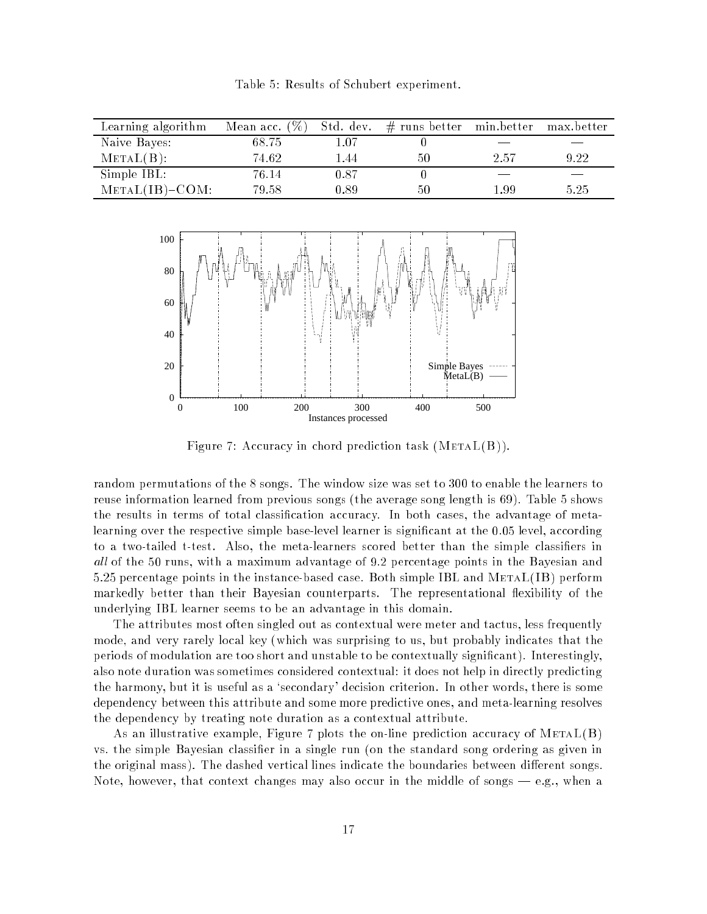Table 5: Results of Schubert experiment.

| Learning algorithm | Mean acc. $(\%)$ | Std. dev. | $#$ runs better min.better |      | max.better |
|--------------------|------------------|-----------|----------------------------|------|------------|
| Naive Bayes:       | 68.75            | 1.07      |                            |      |            |
| $METAL(B)$ :       | 74.62            | 1.44      | 50                         | 2.57 | 9.22       |
| Simple IBL:        | 76.14            | 0.87      |                            |      |            |
| $METAL(IB) - COM:$ | 79.58            | 0.89      | 50                         | 1.99 | 5.25       |



Figure 7: Accuracy in chord prediction task  $(METAL(B))$ .

random permutations of the 8 songs. The window size was set to 300 to enable the learners to reuse information learned from previous songs (the average song length is 69). Table 5 shows the results in terms of total classication accuracy. In both cases, the advantage of metalearning over the respective simple base-level learner is significant at the 0.05 level, according to a two-tailed t-test. Also, the meta-learners scored better than the simple classifiers in all of the 50 runs, with a maximum advantage of 9.2 percentage points in the Bayesian and 5.25 percentage points in the instance-based case. Both simple IBL and MetaL(IB) perform markedly better than their Bayesian counterparts. The representational flexibility of the underlying IBL learner seems to be an advantage in this domain.

The attributes most often singled out as contextual were meter and tactus, less frequently mode, and very rarely local key (which was surprising to us, but probably indicates that the periods of modulation are too short and unstable to be contextually signicant). Interestingly, also note duration was sometimes considered contextual: it does not help in directly predicting the harmony, but it is useful as a `secondary' decision criterion. In other words, there is some dependency between this attribute and some more predictive ones, and meta-learning resolves the dependency by treating note duration as a contextual attribute.

As an illustrative example, Figure 7 plots the on-line prediction accuracy of  $METAL(B)$ vs. the simple Bayesian classifier in a single run (on the standard song ordering as given in the original mass). The dashed vertical lines indicate the boundaries between different songs. Note, however, that context changes may also occur in the middle of songs — e.g., when a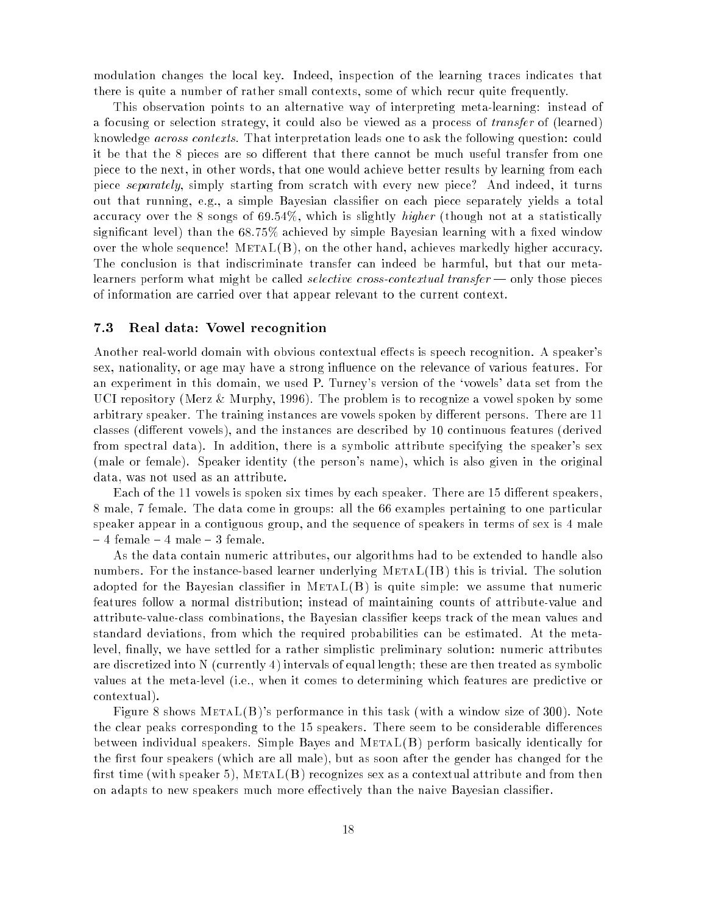modulation changes the local key. Indeed, inspection of the learning traces indicates that there is quite a number of rather small contexts, some of which recur quite frequently.

This observation points to an alternative way of interpreting meta-learning: instead of a focusing or selection strategy, it could also be viewed as a process of *transfer* of (learned) knowledge across contexts. That interpretation leads one to ask the following question: could it be that the 8 pieces are so different that there cannot be much useful transfer from one piece to the next, in other words, that one would achieve better results by learning from each piece separately, simply starting from scratch with every new piece? And indeed, it turns out that running, e.g., a simple Bayesian classifier on each piece separately yields a total accuracy over the 8 songs of 69.54%, which is slightly *higher* (though not at a statistically significant level) than the  $68.75\%$  achieved by simple Bayesian learning with a fixed window over the whole sequence!  $METAL(B)$ , on the other hand, achieves markedly higher accuracy. The conclusion is that indiscriminate transfer can indeed be harmful, but that our metalearners perform what might be called *selective cross-contextual transfer* — only those pieces of information are carried over that appear relevant to the current context.

#### 7.3 Real data: Vowel recognition

Another real-world domain with obvious contextual effects is speech recognition. A speaker's sex, nationality, or age may have a strong influence on the relevance of various features. For an experiment in this domain, we used P. Turney's version of the `vowels' data set from the UCI repository (Merz & Murphy, 1996). The problem is to recognize a vowel spoken by some arbitrary speaker. The training instances are vowels spoken by different persons. There are 11 classes (different vowels), and the instances are described by 10 continuous features (derived from spectral data). In addition, there is a symbolic attribute specifying the speaker's sex (male or female). Speaker identity (the person's name), which is also given in the original data, was not used as an attribute.

Each of the 11 vowels is spoken six times by each speaker. There are 15 different speakers, 8 male, 7 female. The data come in groups: all the 66 examples pertaining to one particular speaker appear in a contiguous group, and the sequence of speakers in terms of sex is 4 male  $-4$  female  $-4$  male  $-3$  female.

As the data contain numeric attributes, our algorithms had to be extended to handle also numbers. For the instance-based learner underlying MetaL(IB) this is trivial. The solution adopted for the Bayesian classifier in  $META(B)$  is quite simple: we assume that numeric features follow a normal distribution; instead of maintaining counts of attribute-value and attribute-value-class combinations, the Bayesian classier keeps track of the mean values and standard deviations, from which the required probabilities can be estimated. At the metalevel, finally, we have settled for a rather simplistic preliminary solution: numeric attributes are discretized into N (currently 4) intervals of equal length; these are then treated as symbolic values at the meta-level (i.e., when it comes to determining which features are predictive or contextual).

Figure 8 shows  $METAL(B)$ 's performance in this task (with a window size of 300). Note the clear peaks corresponding to the 15 speakers. There seem to be considerable differences between individual speakers. Simple Bayes and MetaL(B) perform basically identically for the first four speakers (which are all male), but as soon after the gender has changed for the first time (with speaker 5), META $L(B)$  recognizes sex as a contextual attribute and from then on adapts to new speakers much more effectively than the naive Bayesian classifier.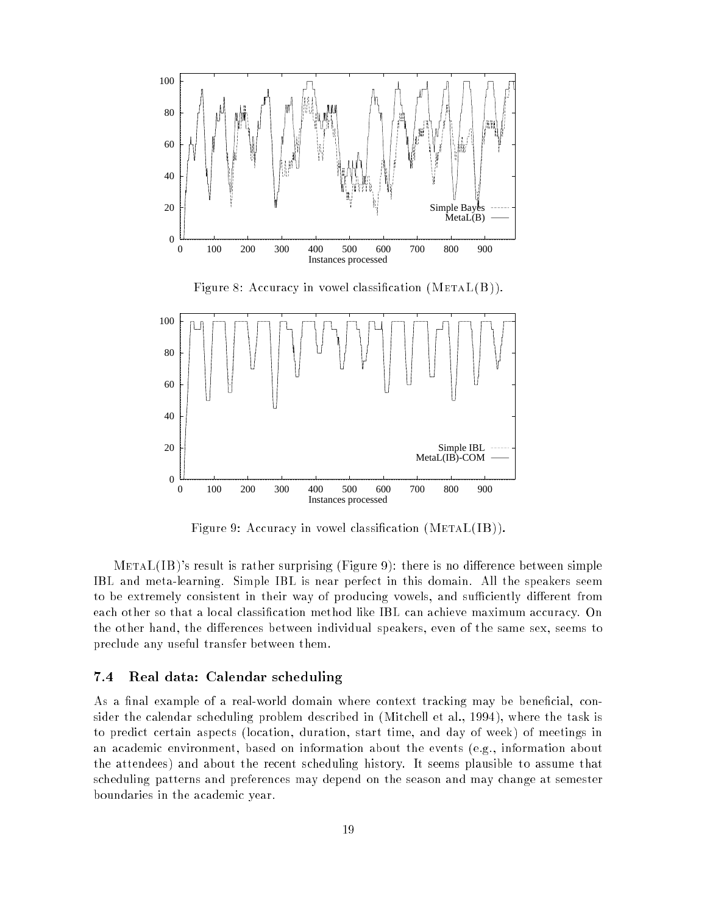

Figure 9: Accuracy in vowel classification  $(METAL(IB))$ .

 $METAL(IB)$ 's result is rather surprising (Figure 9): there is no difference between simple IBL and meta-learning. Simple IBL is near perfect in this domain. All the speakers seem to be extremely consistent in their way of producing vowels, and sufficiently different from each other so that a local classification method like IBL can achieve maximum accuracy. On the other hand, the differences between individual speakers, even of the same sex, seems to preclude any useful transfer between them.

### 7.4 Real data: Calendar scheduling

As a final example of a real-world domain where context tracking may be beneficial, consider the calendar scheduling problem described in (Mitchell et al., 1994), where the task is to predict certain aspects (location, duration, start time, and day of week) of meetings in an academic environment, based on information about the events (e.g., information about the attendees) and about the recent scheduling history. It seems plausible to assume that scheduling patterns and preferences may depend on the season and may change at semester boundaries in the academic year.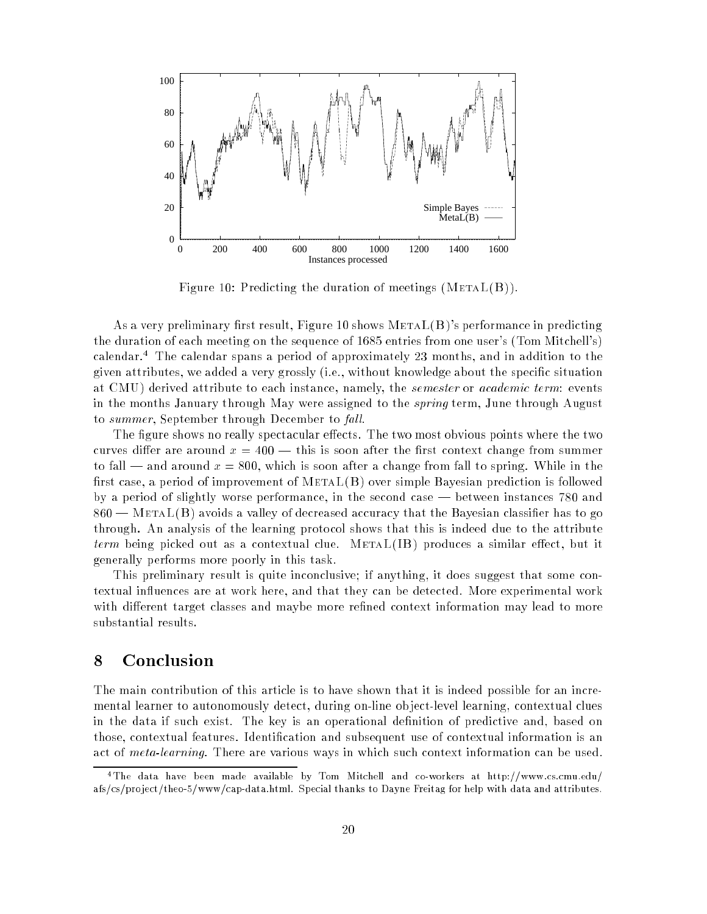

Figure 10: Predicting the duration of meetings  $(METAL(B))$ .

As a very preliminary first result, Figure 10 shows  $METAL(B)$ 's performance in predicting the duration of each meeting on the sequence of 1685 entries from one user's (Tom Mitchell's) calendar.<sup>4</sup> The calendar spans a period of approximately 23 months, and in addition to the given attributes, we added a very grossly (i.e., without knowledge about the specic situation at CMU) derived attribute to each instance, namely, the *semester* or *academic term*: events in the months January through May were assigned to the *spring* term, June through August to summer, September through December to fall.

The figure shows no really spectacular effects. The two most obvious points where the two curves differ are around  $x = 400$  — this is soon after the first context change from summer to fall — and around  $x = 800$ , which is soon after a change from fall to spring. While in the first case, a period of improvement of  $METAL(B)$  over simple Bayesian prediction is followed by a period of slightly worse performance, in the second case — between instances 780 and  $860$  – METAL(B) avoids a valley of decreased accuracy that the Bayesian classifier has to go through. An analysis of the learning protocol shows that this is indeed due to the attribute *term* being picked out as a contextual clue. METAL(IB) produces a similar effect, but it generally performs more poorly in this task.

This preliminary result is quite inconclusive; if anything, it does suggest that some contextual in
uences are at work here, and that they can be detected. More experimental work with different target classes and maybe more refined context information may lead to more substantial results.

## 8 Conclusion

The main contribution of this article is to have shown that it is indeed possible for an incremental learner to autonomously detect, during on-line ob ject-level learning, contextual clues in the data if such exist. The key is an operational definition of predictive and, based on those, contextual features. Identification and subsequent use of contextual information is an act of *meta-learning*. There are various ways in which such context information can be used.

<sup>4</sup>The data have been made available by Tom Mitchell and co-workers at http://www.cs.cmu.edu/ afs/cs/project/theo-5/www/cap-data.html. Special thanks to Dayne Freitag for help with data and attributes.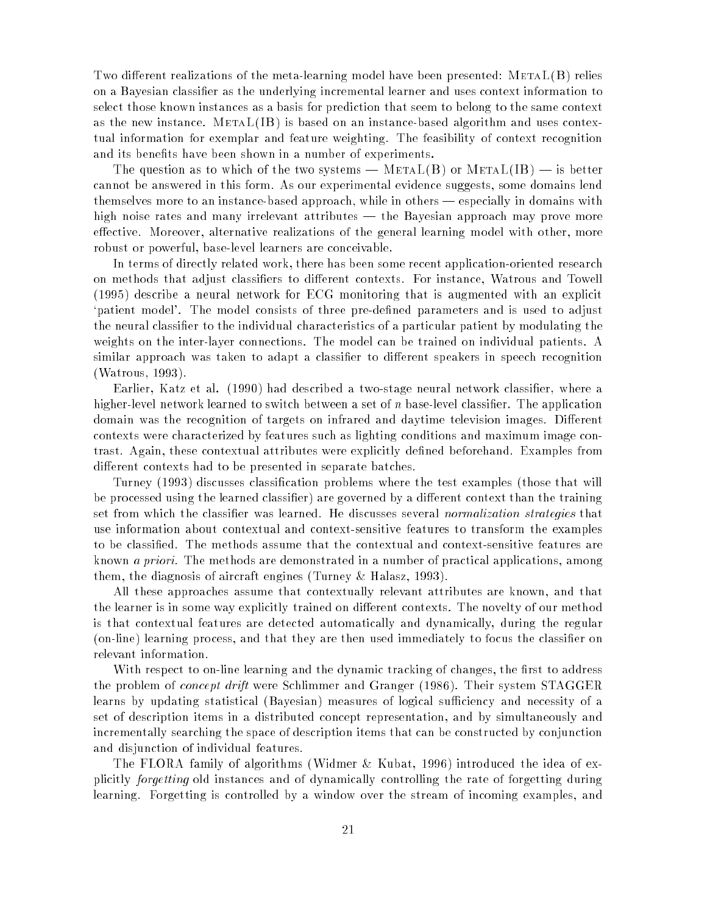Two different realizations of the meta-learning model have been presented:  $METAL(B)$  relies on a Bayesian classier as the underlying incremental learner and uses context information to select those known instances as a basis for prediction that seem to belong to the same context as the new instance.  $\operatorname{METAL}(\operatorname{IB})$  is based on an instance-based algorithm and uses contextual information for exemplar and feature weighting. The feasibility of context recognition and its benets have been shown in a number of experiments.

The question as to which of the two systems —  $METAL(B)$  or  $METAL(IB)$  — is better cannot be answered in this form. As our experimental evidence suggests, some domains lend themselves more to an instance-based approach, while in others — especially in domains with high noise rates and many irrelevant attributes — the Bayesian approach may prove more effective. Moreover, alternative realizations of the general learning model with other, more robust or powerful, base-level learners are conceivable.

In terms of directly related work, there has been some recent application-oriented research on methods that adjust classifiers to different contexts. For instance, Watrous and Towell (1995) describe a neural network for ECG monitoring that is augmented with an explicit patient model'. The model consists of three pre-defined parameters and is used to adjust the neural classier to the individual characteristics of a particular patient by modulating the weights on the inter-layer connections. The model can be trained on individual patients. A similar approach was taken to adapt a classifier to different speakers in speech recognition (Watrous, 1993).

Earlier, Katz et al. (1990) had described a two-stage neural network classier, where a higher-level network learned to switch between a set of  $n$  base-level classifier. The application domain was the recognition of targets on infrared and daytime television images. Different contexts were characterized by features such as lighting conditions and maximum image contrast. Again, these contextual attributes were explicitly defined beforehand. Examples from different contexts had to be presented in separate batches.

Turney (1993) discusses classification problems where the test examples (those that will be processed using the learned classifier) are governed by a different context than the training set from which the classifier was learned. He discusses several normalization strategies that use information about contextual and context-sensitive features to transform the examples to be classied. The methods assume that the contextual and context-sensitive features are known a priori. The methods are demonstrated in a number of practical applications, among them, the diagnosis of aircraft engines (Turney & Halasz, 1993).

All these approaches assume that contextually relevant attributes are known, and that the learner is in some way explicitly trained on different contexts. The novelty of our method is that contextual features are detected automatically and dynamically, during the regular (on-line) learning process, and that they are then used immediately to focus the classier on relevant information.

With respect to on-line learning and the dynamic tracking of changes, the first to address the problem of concept drift were Schlimmer and Granger (1986). Their system STAGGER learns by updating statistical (Bayesian) measures of logical sufficiency and necessity of a set of description items in a distributed concept representation, and by simultaneously and incrementally searching the space of description items that can be constructed by conjunction and disjunction of individual features.

The FLORA family of algorithms (Widmer & Kubat, 1996) introduced the idea of explicitly forgetting old instances and of dynamically controlling the rate of forgetting during learning. Forgetting is controlled by a window over the stream of incoming examples, and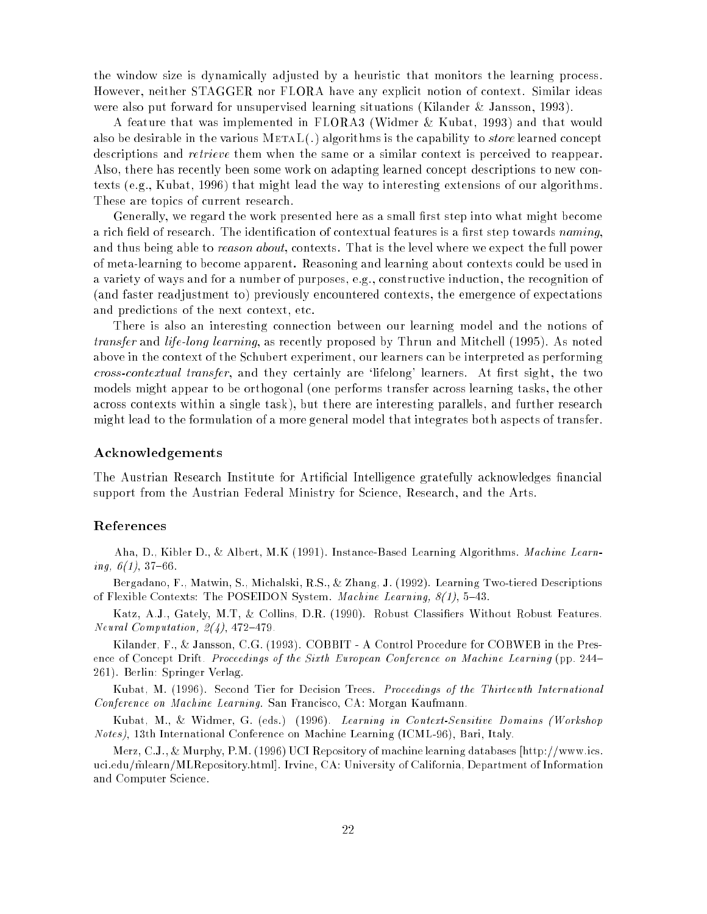the window size is dynamically adjusted by a heuristic that monitors the learning process. However, neither STAGGER nor FLORA have any explicit notion of context. Similar ideas were also put forward for unsupervised learning situations (Kilander & Jansson, 1993).

A feature that was implemented in FLORA3 (Widmer & Kubat, 1993) and that would also be desirable in the various  $METAL(.)$  algorithms is the capability to *store* learned concept descriptions and retrieve them when the same or a similar context is perceived to reappear. Also, there has recently been some work on adapting learned concept descriptions to new contexts (e.g., Kubat, 1996) that might lead the way to interesting extensions of our algorithms. These are topics of current research.

Generally, we regard the work presented here as a small first step into what might become a rich field of research. The identification of contextual features is a first step towards  $\emph{naming}$ , and thus being able to *reason about*, contexts. That is the level where we expect the full power of meta-learning to become apparent. Reasoning and learning about contexts could be used in a variety of ways and for a number of purposes, e.g., constructive induction, the recognition of (and faster readjustment to) previously encountered contexts, the emergence of expectations and predictions of the next context, etc.

There is also an interesting connection between our learning model and the notions of transfer and life-long learning, as recently proposed by Thrun and Mitchell (1995). As noted above in the context of the Schubert experiment, our learners can be interpreted as performing cross-contextual transfer, and they certainly are 'lifelong' learners. At first sight, the two models might appear to be orthogonal (one performs transfer across learning tasks, the other across contexts within a single task), but there are interesting parallels, and further research might lead to the formulation of a more general model that integrates both aspects of transfer.

#### Acknowledgements

The Austrian Research Institute for Artificial Intelligence gratefully acknowledges financial support from the Austrian Federal Ministry for Science, Research, and the Arts.

#### References

Aha, D., Kibler D., & Albert, M.K (1991). Instance-Based Learning Algorithms. Machine Learning,  $6(1)$ , 37-66.

Bergadano, F., Matwin, S., Michalski, R.S., & Zhang, J. (1992). Learning Two-tiered Descriptions of Flexible Contexts: The POSEIDON System. Machine Learning,  $8(1)$ , 5-43.

Katz, A.J., Gately, M.T, & Collins, D.R. (1990). Robust Classiers Without Robust Features. Neural Computation,  $2(4)$ , 472-479.

Kilander, F., & Jansson, C.G. (1993). COBBIT - A Control Procedure for COBWEB in the Presence of Concept Drift. Proceedings of the Sixth European Conference on Machine Learning (pp. 244-261). Berlin: Springer Verlag.

Kubat, M. (1996). Second Tier for Decision Trees. Proceedings of the Thirteenth International Conference on Machine Learning. San Francisco, CA: Morgan Kaufmann.

Kubat, M., & Widmer, G. (eds.) (1996). Learning in Context-Sensitive Domains (Workshop Notes), 13th International Conference on Machine Learning (ICML-96), Bari, Italy.

Merz, C.J., & Murphy, P.M. (1996) UCI Repository of machine learning databases [http://www.ics. uci.edu/m̃learn/MLRepository.html]. Irvine, CA: University of California, Department of Information and Computer Science.